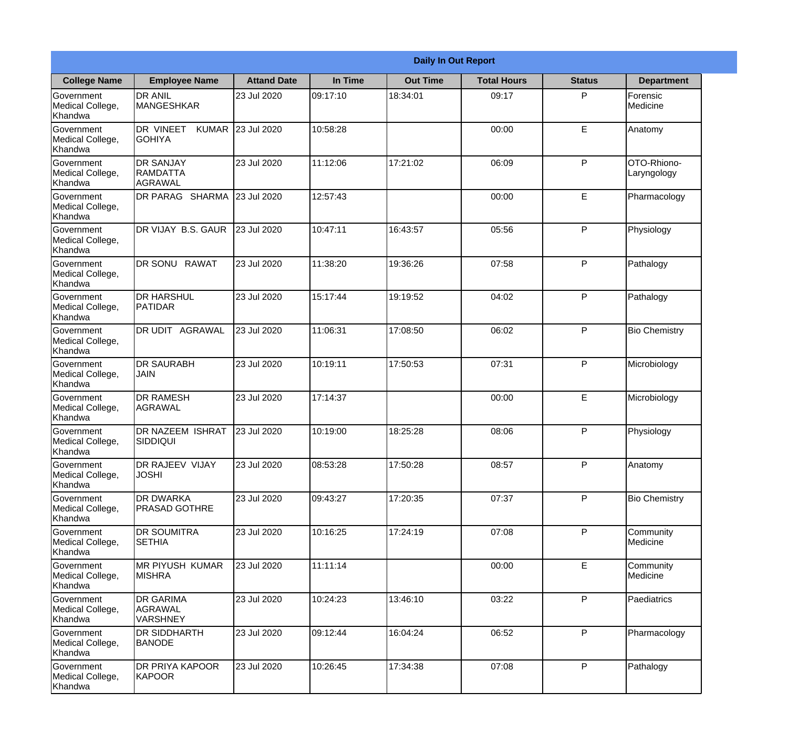|                                                  |                                                        |                    |          | <b>Daily In Out Report</b> |                    |               |                            |
|--------------------------------------------------|--------------------------------------------------------|--------------------|----------|----------------------------|--------------------|---------------|----------------------------|
| <b>College Name</b>                              | <b>Employee Name</b>                                   | <b>Attand Date</b> | In Time  | <b>Out Time</b>            | <b>Total Hours</b> | <b>Status</b> | <b>Department</b>          |
| Government<br>Medical College,<br>Khandwa        | <b>DR ANIL</b><br><b>MANGESHKAR</b>                    | 23 Jul 2020        | 09:17:10 | 18:34:01                   | 09:17              | P             | Forensic<br>Medicine       |
| Government<br>Medical College,<br>Khandwa        | DR VINEET<br><b>KUMAR</b><br><b>GOHIYA</b>             | 23 Jul 2020        | 10:58:28 |                            | 00:00              | E             | Anatomy                    |
| <b>Government</b><br>Medical College,<br>Khandwa | <b>IDR SANJAY</b><br><b>RAMDATTA</b><br><b>AGRAWAL</b> | 23 Jul 2020        | 11:12:06 | 17:21:02                   | 06:09              | P             | OTO-Rhiono-<br>Laryngology |
| Government<br>Medical College,<br>Khandwa        | DR PARAG SHARMA                                        | 23 Jul 2020        | 12:57:43 |                            | 00:00              | E             | Pharmacology               |
| Government<br>Medical College,<br>Khandwa        | <b>IDR VIJAY B.S. GAUR</b>                             | 23 Jul 2020        | 10:47:11 | 16:43:57                   | 05:56              | P             | Physiology                 |
| Government<br>Medical College,<br>Khandwa        | <b>DR SONU RAWAT</b>                                   | 23 Jul 2020        | 11:38:20 | 19:36:26                   | 07:58              | P             | Pathalogy                  |
| Government<br>Medical College,<br>Khandwa        | <b>I</b> DR HARSHUL<br><b>PATIDAR</b>                  | 23 Jul 2020        | 15:17:44 | 19:19:52                   | 04:02              | P             | Pathalogy                  |
| Government<br>Medical College,<br>Khandwa        | DR UDIT AGRAWAL                                        | 23 Jul 2020        | 11:06:31 | 17:08:50                   | 06:02              | P             | <b>Bio Chemistry</b>       |
| Government<br>Medical College,<br>Khandwa        | <b>DR SAURABH</b><br><b>JAIN</b>                       | 23 Jul 2020        | 10:19:11 | 17:50:53                   | 07:31              | P             | Microbiology               |
| Government<br>Medical College,<br>Khandwa        | <b>DR RAMESH</b><br>AGRAWAL                            | 23 Jul 2020        | 17:14:37 |                            | 00:00              | E             | Microbiology               |
| Government<br>Medical College,<br>Khandwa        | <b>IDR NAZEEM ISHRAT</b><br>SIDDIQUI                   | 23 Jul 2020        | 10:19:00 | 18:25:28                   | 08:06              | $\mathsf{P}$  | Physiology                 |
| Government<br>Medical College,<br>Khandwa        | <b>DR RAJEEV VIJAY</b><br><b>JOSHI</b>                 | 23 Jul 2020        | 08:53:28 | 17:50:28                   | 08:57              | P             | Anatomy                    |
| Government<br>Medical College,<br>Khandwa        | <b>DR DWARKA</b><br><b>PRASAD GOTHRE</b>               | 23 Jul 2020        | 09:43:27 | 17:20:35                   | 07:37              | P             | <b>Bio Chemistry</b>       |
| <b>Government</b><br>Medical College,<br>Khandwa | <b>DR SOUMITRA</b><br><b>SETHIA</b>                    | 23 Jul 2020        | 10:16:25 | 17:24:19                   | 07:08              | P             | Community<br>Medicine      |
| Government<br>Medical College,<br>Khandwa        | <b>MR PIYUSH KUMAR</b><br><b>MISHRA</b>                | 23 Jul 2020        | 11:11:14 |                            | 00:00              | E             | Community<br>Medicine      |
| Government<br>Medical College,<br>Khandwa        | <b>DR GARIMA</b><br>AGRAWAL<br><b>VARSHNEY</b>         | 23 Jul 2020        | 10:24:23 | 13:46:10                   | 03:22              | P             | Paediatrics                |
| Government<br>Medical College,<br>Khandwa        | <b>DR SIDDHARTH</b><br><b>BANODE</b>                   | 23 Jul 2020        | 09:12:44 | 16:04:24                   | 06:52              | P             | Pharmacology               |
| Government<br>Medical College,<br>Khandwa        | <b>DR PRIYA KAPOOR</b><br>KAPOOR                       | 23 Jul 2020        | 10:26:45 | 17:34:38                   | 07:08              | P             | Pathalogy                  |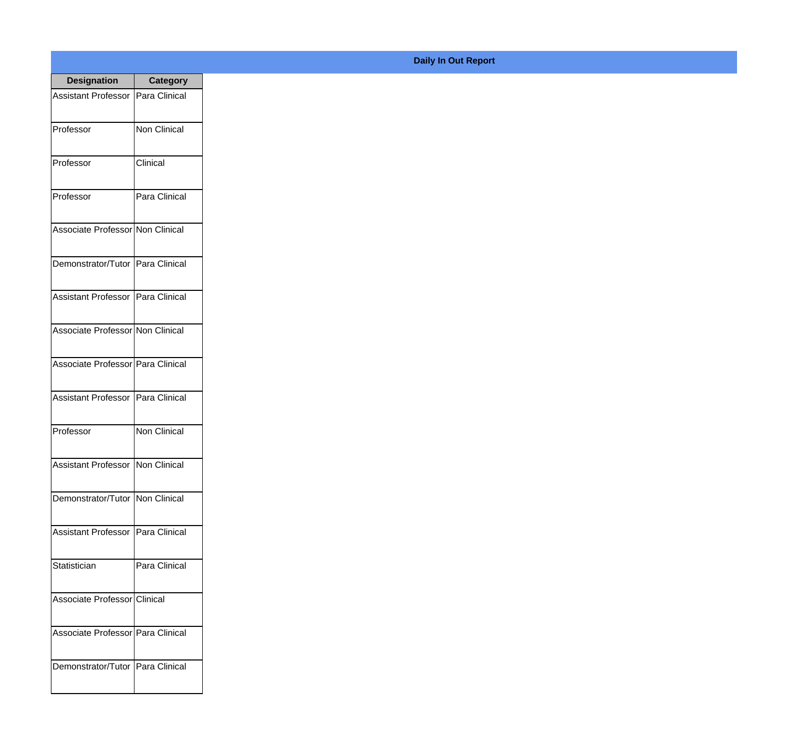| <b>Designation</b>                  | <b>Category</b>     |
|-------------------------------------|---------------------|
| <b>Assistant Professor</b>          | Para Clinical       |
| Professor                           | Non Clinical        |
| Professor                           | Clinical            |
| Professor                           | Para Clinical       |
| Associate Professor Non Clinical    |                     |
| Demonstrator/Tutor   Para Clinical  |                     |
| Assistant Professor   Para Clinical |                     |
| Associate Professor Non Clinical    |                     |
| Associate Professor Para Clinical   |                     |
| <b>Assistant Professor</b>          | Para Clinical       |
| Professor                           | <b>Non Clinical</b> |
| Assistant Professor Non Clinical    |                     |
| Demonstrator/Tutor Non Clinical     |                     |
| Assistant Professor   Para Clinical |                     |
| Statistician                        | Para Clinical       |
| Associate Professor Clinical        |                     |
| Associate Professor   Para Clinical |                     |
| Demonstrator/Tutor   Para Clinical  |                     |

## **Daily In Out Report**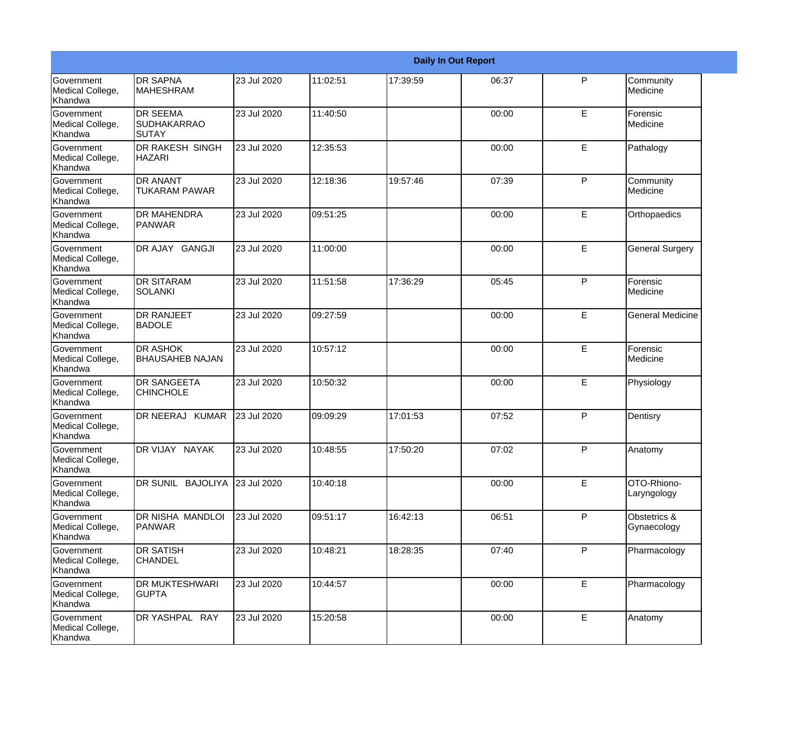|                                                         |                                                |             |          |          | <b>Daily In Out Report</b> |    |                             |
|---------------------------------------------------------|------------------------------------------------|-------------|----------|----------|----------------------------|----|-----------------------------|
| Government<br>Medical College,<br>Khandwa               | <b>DR SAPNA</b><br><b>MAHESHRAM</b>            | 23 Jul 2020 | 11:02:51 | 17:39:59 | 06:37                      | P  | Community<br>Medicine       |
| <b>Government</b><br>Medical College,<br>Khandwa        | <b>DR SEEMA</b><br>SUDHAKARRAO<br><b>SUTAY</b> | 23 Jul 2020 | 11:40:50 |          | 00:00                      | E  | Forensic<br>Medicine        |
| Government<br>Medical College,<br>Khandwa               | <b>DR RAKESH SINGH</b><br><b>HAZARI</b>        | 23 Jul 2020 | 12:35:53 |          | 00:00                      | E. | Pathalogy                   |
| <b>Government</b><br>Medical College,<br>Khandwa        | <b>DR ANANT</b><br>TUKARAM PAWAR               | 23 Jul 2020 | 12:18:36 | 19:57:46 | 07:39                      | P  | Community<br>Medicine       |
| <b>Government</b><br>Medical College,<br>Khandwa        | <b>DR MAHENDRA</b><br>PANWAR                   | 23 Jul 2020 | 09:51:25 |          | 00:00                      | E  | Orthopaedics                |
| Government<br>Medical College,<br>Khandwa               | DR AJAY GANGJI                                 | 23 Jul 2020 | 11:00:00 |          | 00:00                      | E  | <b>General Surgery</b>      |
| Government<br>Medical College,<br>Khandwa               | <b>DR SITARAM</b><br>SOLANKI                   | 23 Jul 2020 | 11:51:58 | 17:36:29 | 05:45                      | P  | Forensic<br>Medicine        |
| Government<br>Medical College,<br>Khandwa               | <b>DR RANJEET</b><br><b>BADOLE</b>             | 23 Jul 2020 | 09:27:59 |          | 00:00                      | E  | <b>General Medicine</b>     |
| <b>Government</b><br>Medical College,<br>Khandwa        | <b>DR ASHOK</b><br><b>BHAUSAHEB NAJAN</b>      | 23 Jul 2020 | 10:57:12 |          | 00:00                      | E  | Forensic<br>Medicine        |
| <b>Government</b><br>Medical College,<br><b>Khandwa</b> | <b>DR SANGEETA</b><br><b>CHINCHOLE</b>         | 23 Jul 2020 | 10:50:32 |          | 00:00                      | E  | Physiology                  |
| Government<br>Medical College,<br>Khandwa               | DR NEERAJ KUMAR                                | 23 Jul 2020 | 09:09:29 | 17:01:53 | 07:52                      | P  | Dentisry                    |
| Government<br>Medical College,<br>Khandwa               | DR VIJAY NAYAK                                 | 23 Jul 2020 | 10:48:55 | 17:50:20 | 07:02                      | P  | Anatomy                     |
| Government<br>Medical College,<br>Khandwa               | DR SUNIL BAJOLIYA 23 Jul 2020                  |             | 10:40:18 |          | 00:00                      | E. | OTO-Rhiono-<br>Laryngology  |
| Government<br>Medical College,<br>Khandwa               | DR NISHA MANDLOI<br>PANWAR                     | 23 Jul 2020 | 09:51:17 | 16:42:13 | 06:51                      | P  | Obstetrics &<br>Gynaecology |
| Government<br>Medical College,<br>Khandwa               | <b>DR SATISH</b><br><b>CHANDEL</b>             | 23 Jul 2020 | 10:48:21 | 18:28:35 | 07:40                      | P  | Pharmacology                |
| Government<br>Medical College,<br>Khandwa               | DR MUKTESHWARI<br><b>GUPTA</b>                 | 23 Jul 2020 | 10:44:57 |          | 00:00                      | E  | Pharmacology                |
| Government<br>Medical College,<br>Khandwa               | DR YASHPAL RAY                                 | 23 Jul 2020 | 15:20:58 |          | 00:00                      | E  | Anatomy                     |